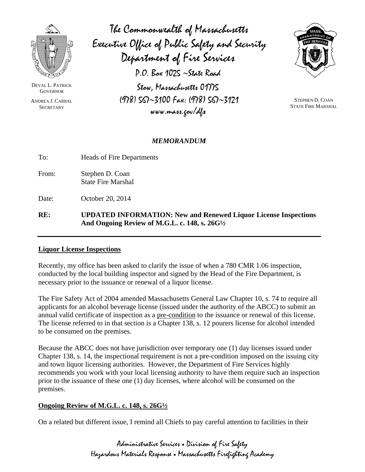

DEVAL L. PATRICK **GOVERNOR** 

ANDREA J. CABRAL **SECRETARY** 

The Commonwealth of Massachusetts Executive Office of Public Safety and Security Department of Fire Services  $P.O.$  Box 1025  $\sim$ State Road Stow, Massachusetts 01775  $(978)$  SG $\sim$ 3100 Fax:  $(978)$  SG $\sim$ 3121  $www.max.cov/d1$ 



**STEPHEN D. COAN STATE FIRE MARSHAL** 

## **MEMORANDUM**

To: **Heads of Fire Departments** 

From: Stephen D. Coan **State Fire Marshal** 

Date: October 20, 2014

## RE: **UPDATED INFORMATION: New and Renewed Liquor License Inspections** And Ongoing Review of M.G.L. c. 148, s. 26G1/2

## **Liquor License Inspections**

Recently, my office has been asked to clarify the issue of when a 780 CMR 1.06 inspection, conducted by the local building inspector and signed by the Head of the Fire Department, is necessary prior to the issuance or renewal of a liquor license.

The Fire Safety Act of 2004 amended Massachusetts General Law Chapter 10, s. 74 to require all applicants for an alcohol beverage license (issued under the authority of the ABCC) to submit an annual valid certificate of inspection as a pre-condition to the issuance or renewal of this license. The license referred to in that section is a Chapter 138, s. 12 pourers license for alcohol intended to be consumed on the premises.

Because the ABCC does not have jurisdiction over temporary one (1) day licenses issued under Chapter 138, s. 14, the inspectional requirement is not a pre-condition imposed on the issuing city and town liquor licensing authorities. However, the Department of Fire Services highly recommends you work with your local licensing authority to have them require such an inspection prior to the issuance of these one (1) day licenses, where alcohol will be consumed on the premises.

## **Ongoing Review of M.G.L. c. 148, s. 26G**<sup>1</sup>/2

On a related but different issue, I remind all Chiefs to pay careful attention to facilities in their

Administrative Services . Division of Fire Safety Hazardous Materials Response . Massachusetts Firefighting Academy